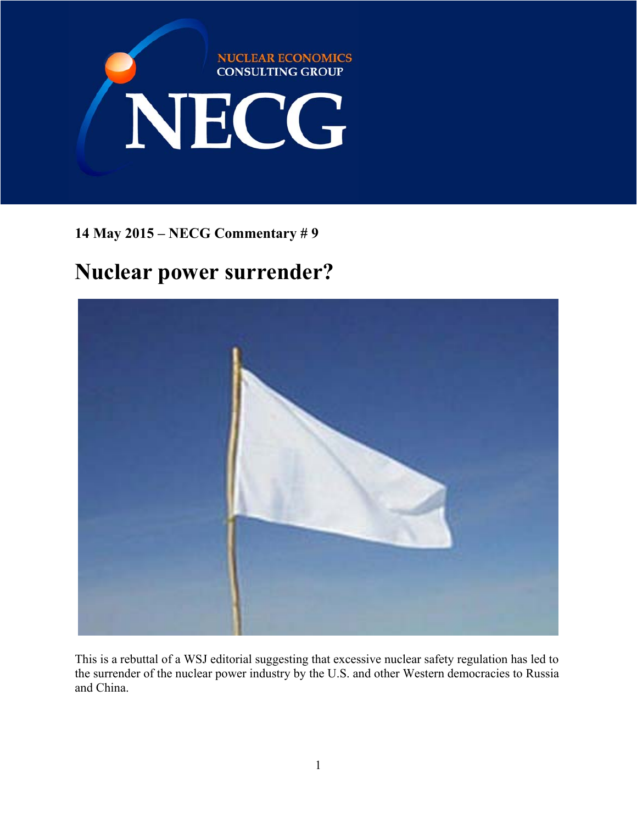

**14 May 2015 – NECG Commentary # 9** 

# **Nuclear power surrender?**



This is a rebuttal of a WSJ editorial suggesting that excessive nuclear safety regulation has led to the surrender of the nuclear power industry by the U.S. and other Western democracies to Russia and China.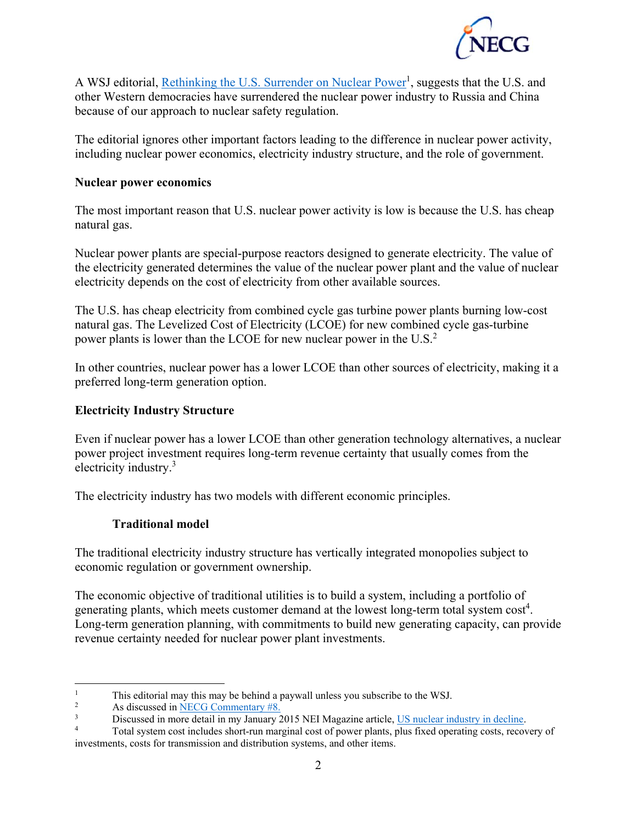

A WSJ editorial, Rethinking the U.S. Surrender on Nuclear Power<sup>1</sup>, suggests that the U.S. and other Western democracies have surrendered the nuclear power industry to Russia and China because of our approach to nuclear safety regulation.

The editorial ignores other important factors leading to the difference in nuclear power activity, including nuclear power economics, electricity industry structure, and the role of government.

#### **Nuclear power economics**

The most important reason that U.S. nuclear power activity is low is because the U.S. has cheap natural gas.

Nuclear power plants are special-purpose reactors designed to generate electricity. The value of the electricity generated determines the value of the nuclear power plant and the value of nuclear electricity depends on the cost of electricity from other available sources.

The U.S. has cheap electricity from combined cycle gas turbine power plants burning low-cost natural gas. The Levelized Cost of Electricity (LCOE) for new combined cycle gas-turbine power plants is lower than the LCOE for new nuclear power in the U.S.<sup>2</sup>

In other countries, nuclear power has a lower LCOE than other sources of electricity, making it a preferred long-term generation option.

### **Electricity Industry Structure**

Even if nuclear power has a lower LCOE than other generation technology alternatives, a nuclear power project investment requires long-term revenue certainty that usually comes from the electricity industry.<sup>3</sup>

The electricity industry has two models with different economic principles.

## **Traditional model**

The traditional electricity industry structure has vertically integrated monopolies subject to economic regulation or government ownership.

The economic objective of traditional utilities is to build a system, including a portfolio of generating plants, which meets customer demand at the lowest long-term total system  $cost<sup>4</sup>$ . Long-term generation planning, with commitments to build new generating capacity, can provide revenue certainty needed for nuclear power plant investments.

 $\frac{1}{1}$ This editorial may this may be behind a paywall unless you subscribe to the WSJ.

As discussed in **NECG** Commentary #8.

<sup>3</sup> Discussed in more detail in my January 2015 NEI Magazine article, US nuclear industry in decline.<br>
Total system cost includes short-run marginal cost of nower plants, plus fixed operating costs, recov

Total system cost includes short-run marginal cost of power plants, plus fixed operating costs, recovery of investments, costs for transmission and distribution systems, and other items.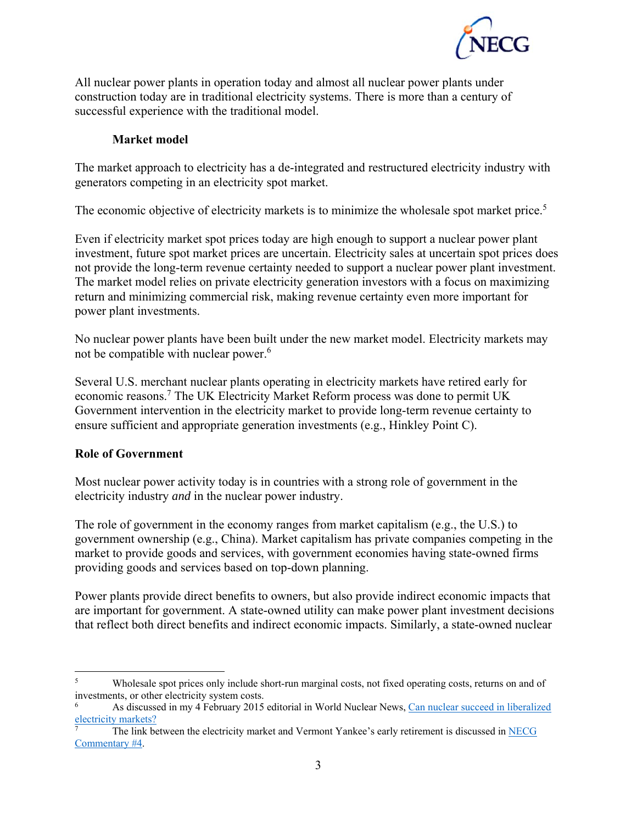

All nuclear power plants in operation today and almost all nuclear power plants under construction today are in traditional electricity systems. There is more than a century of successful experience with the traditional model.

#### **Market model**

The market approach to electricity has a de-integrated and restructured electricity industry with generators competing in an electricity spot market.

The economic objective of electricity markets is to minimize the wholesale spot market price.<sup>5</sup>

Even if electricity market spot prices today are high enough to support a nuclear power plant investment, future spot market prices are uncertain. Electricity sales at uncertain spot prices does not provide the long-term revenue certainty needed to support a nuclear power plant investment. The market model relies on private electricity generation investors with a focus on maximizing return and minimizing commercial risk, making revenue certainty even more important for power plant investments.

No nuclear power plants have been built under the new market model. Electricity markets may not be compatible with nuclear power.<sup>6</sup>

Several U.S. merchant nuclear plants operating in electricity markets have retired early for economic reasons.<sup>7</sup> The UK Electricity Market Reform process was done to permit UK Government intervention in the electricity market to provide long-term revenue certainty to ensure sufficient and appropriate generation investments (e.g., Hinkley Point C).

#### **Role of Government**

Most nuclear power activity today is in countries with a strong role of government in the electricity industry *and* in the nuclear power industry.

The role of government in the economy ranges from market capitalism (e.g., the U.S.) to government ownership (e.g., China). Market capitalism has private companies competing in the market to provide goods and services, with government economies having state-owned firms providing goods and services based on top-down planning.

Power plants provide direct benefits to owners, but also provide indirect economic impacts that are important for government. A state-owned utility can make power plant investment decisions that reflect both direct benefits and indirect economic impacts. Similarly, a state-owned nuclear

<sup>1</sup> 5 Wholesale spot prices only include short-run marginal costs, not fixed operating costs, returns on and of investments, or other electricity system costs.

<sup>6</sup> As discussed in my 4 February 2015 editorial in World Nuclear News, Can nuclear succeed in liberalized electricity markets?

<sup>7</sup> The link between the electricity market and Vermont Yankee's early retirement is discussed in NECG Commentary #4.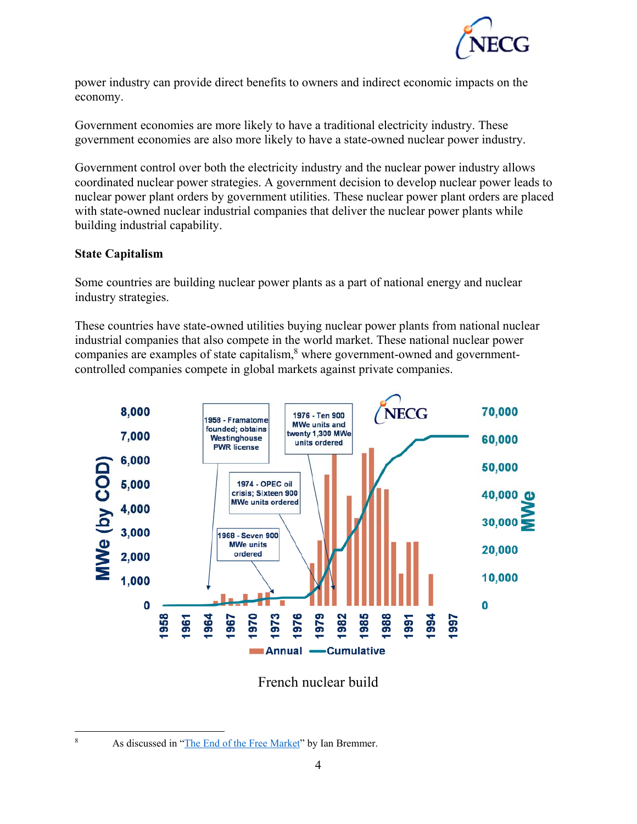

power industry can provide direct benefits to owners and indirect economic impacts on the economy.

Government economies are more likely to have a traditional electricity industry. These government economies are also more likely to have a state-owned nuclear power industry.

Government control over both the electricity industry and the nuclear power industry allows coordinated nuclear power strategies. A government decision to develop nuclear power leads to nuclear power plant orders by government utilities. These nuclear power plant orders are placed with state-owned nuclear industrial companies that deliver the nuclear power plants while building industrial capability.

#### **State Capitalism**

Some countries are building nuclear power plants as a part of national energy and nuclear industry strategies.

These countries have state-owned utilities buying nuclear power plants from national nuclear industrial companies that also compete in the world market. These national nuclear power companies are examples of state capitalism, $<sup>8</sup>$  where government-owned and government-</sup> controlled companies compete in global markets against private companies.



French nuclear build

 $\overline{a}$ 8

As discussed in "The End of the Free Market" by Ian Bremmer.